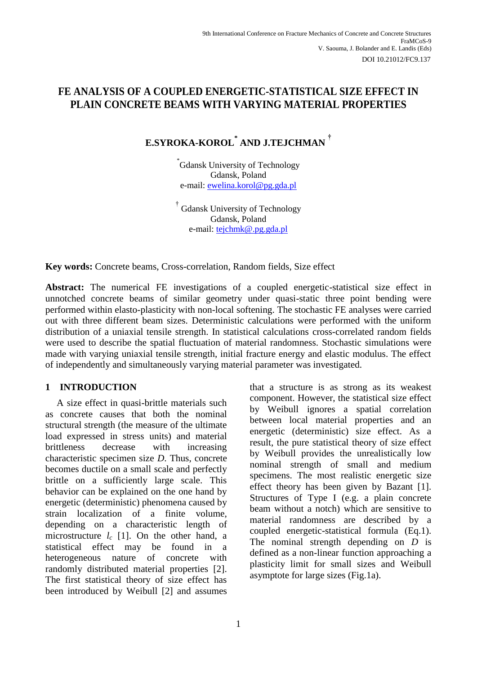# **FE ANALYSIS OF A COUPLED ENERGETIC-STATISTICAL SIZE EFFECT IN PLAIN CONCRETE BEAMS WITH VARYING MATERIAL PROPERTIES**

# **E.SYROKA-KOROL\* AND J.TEJCHMAN †**

\* Gdansk University of Technology Gdansk, Poland e-mail: [ewelina.korol@pg.gda.pl](mailto:ewelina.korol@pg.gda.pl)

† Gdansk University of Technology Gdansk, Poland e-mail: [tejchmk@.pg.gda.pl](mailto:tejchmk@.pg.gda.pl) 

**Key words:** Concrete beams, Cross-correlation, Random fields, Size effect

**Abstract:** The numerical FE investigations of a coupled energetic-statistical size effect in unnotched concrete beams of similar geometry under quasi-static three point bending were performed within elasto-plasticity with non-local softening. The stochastic FE analyses were carried out with three different beam sizes. Deterministic calculations were performed with the uniform distribution of a uniaxial tensile strength. In statistical calculations cross-correlated random fields were used to describe the spatial fluctuation of material randomness. Stochastic simulations were made with varying uniaxial tensile strength, initial fracture energy and elastic modulus. The effect of independently and simultaneously varying material parameter was investigated.

# **1 INTRODUCTION**

A size effect in quasi-brittle materials such as concrete causes that both the nominal structural strength (the measure of the ultimate load expressed in stress units) and material brittleness decrease with increasing characteristic specimen size *D*. Thus, concrete becomes ductile on a small scale and perfectly brittle on a sufficiently large scale. This behavior can be explained on the one hand by energetic (deterministic) phenomena caused by strain localization of a finite volume, depending on a characteristic length of microstructure *lc* [1]. On the other hand, a statistical effect may be found in a heterogeneous nature of concrete with randomly distributed material properties [2]. The first statistical theory of size effect has been introduced by Weibull [2] and assumes that a structure is as strong as its weakest component. However, the statistical size effect by Weibull ignores a spatial correlation between local material properties and an energetic (deterministic) size effect. As a result, the pure statistical theory of size effect by Weibull provides the unrealistically low nominal strength of small and medium specimens. The most realistic energetic size effect theory has been given by Bazant [1]. Structures of Type I (e.g. a plain concrete beam without a notch) which are sensitive to material randomness are described by a coupled energetic-statistical formula (Eq.1). The nominal strength depending on *D* is defined as a non-linear function approaching a plasticity limit for small sizes and Weibull asymptote for large sizes (Fig.1a).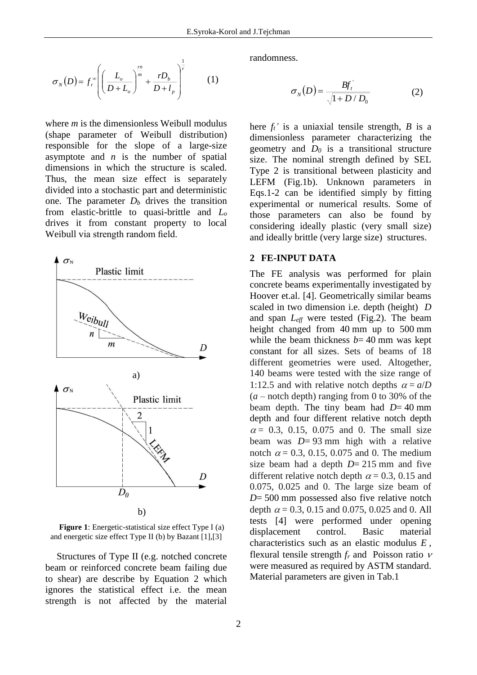$$
\sigma_N(D) = f_r^{\infty} \left( \left( \frac{L_o}{D + L_o} \right)^{\frac{rn}{m}} + \frac{rD_b}{D + l_p} \right)^{\frac{1}{r}}
$$
(1)

where *m* is the dimensionless Weibull modulus (shape parameter of Weibull distribution) responsible for the slope of a large-size asymptote and *n* is the number of spatial dimensions in which the structure is scaled. Thus, the mean size effect is separately divided into a stochastic part and deterministic one. The parameter  $D_b$  drives the transition from elastic-brittle to quasi-brittle and *L<sup>o</sup>* drives it from constant property to local Weibull via strength random field.



**Figure 1**: Energetic-statistical size effect Type I (a) and energetic size effect Type II (b) by Bazant [1],[3]

Structures of Type II (e.g. notched concrete beam or reinforced concrete beam failing due to shear) are describe by Equation 2 which ignores the statistical effect i.e. the mean strength is not affected by the material

randomness.

$$
\sigma_{N}(D) = \frac{Bf_{t}^{'} }{\sqrt{1 + D/D_{0}}}
$$
 (2)

here  $f_t$ <sup>*'*</sup> is a uniaxial tensile strength, *B* is a dimensionless parameter characterizing the geometry and  $D_0$  is a transitional structure size. The nominal strength defined by SEL Type 2 is transitional between plasticity and LEFM (Fig.1b). Unknown parameters in Eqs.1-2 can be identified simply by fitting experimental or numerical results. Some of those parameters can also be found by considering ideally plastic (very small size) and ideally brittle (very large size) structures.

# **2 FE-INPUT DATA**

The FE analysis was performed for plain concrete beams experimentally investigated by Hoover et.al. [4]. Geometrically similar beams scaled in two dimension i.e. depth (height) *D* and span *Leff* were tested (Fig.2). The beam height changed from 40 mm up to 500 mm while the beam thickness  $b=40$  mm was kept constant for all sizes. Sets of beams of 18 different geometries were used. Altogether, 140 beams were tested with the size range of 1:12.5 and with relative notch depths  $\alpha = a/D$  $(a -$  notch depth) ranging from 0 to 30% of the beam depth. The tiny beam had *D*= 40 mm depth and four different relative notch depth  $\alpha$  = 0.3, 0.15, 0.075 and 0. The small size beam was *D*= 93 mm high with a relative notch  $\alpha = 0.3, 0.15, 0.075$  and 0. The medium size beam had a depth  $D=215$  mm and five different relative notch depth  $\alpha$  = 0.3, 0.15 and 0.075, 0.025 and 0. The large size beam of *D*= 500 mm possessed also five relative notch depth  $\alpha$  = 0.3, 0.15 and 0.075, 0.025 and 0. All tests [4] were performed under opening<br>displacement control. Basic material displacement control. Basic material characteristics such as an elastic modulus *E* , flexural tensile strength  $f_r$  and Poisson ratio  $\nu$ were measured as required by ASTM standard. Material parameters are given in Tab.1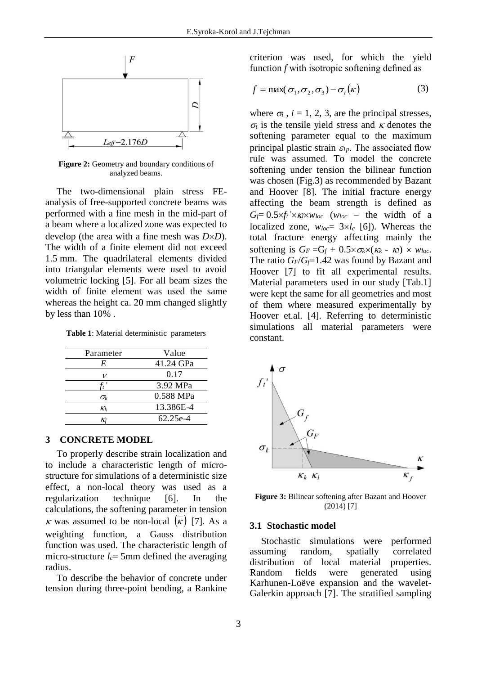

Figure 2: Geometry and boundary conditions of analyzed beams.

The two-dimensional plain stress FEanalysis of free-supported concrete beams was performed with a fine mesh in the mid-part of a beam where a localized zone was expected to develop (the area with a fine mesh was  $D \times D$ ). The width of a finite element did not exceed 1.5 mm. The quadrilateral elements divided into triangular elements were used to avoid volumetric locking [5]. For all beam sizes the width of finite element was used the same whereas the height ca. 20 mm changed slightly by less than 10% .

| Table 1: Material deterministic parameters |  |
|--------------------------------------------|--|
|--------------------------------------------|--|

| Parameter      | Value     |
|----------------|-----------|
| E              | 41.24 GPa |
| 1/             | 0.17      |
|                | 3.92 MPa  |
| $\sigma_{\!k}$ | 0.588 MPa |
| $K_k$          | 13.386E-4 |
|                | 62.25e-4  |

#### **3 CONCRETE MODEL**

To properly describe strain localization and to include a characteristic length of microstructure for simulations of a deterministic size effect, a non-local theory was used as a regularization technique [6]. In the calculations, the softening parameter in tension  $\kappa$  was assumed to be non-local  $(\overline{\kappa})$  [7]. As a weighting function, a Gauss distribution function was used. The characteristic length of micro-structure  $l_c$ = 5mm defined the averaging radius.

To describe the behavior of concrete under tension during three-point bending, a Rankine criterion was used, for which the yield function *f* with isotropic softening defined as

$$
f = \max(\sigma_1, \sigma_2, \sigma_3) - \sigma_t(\kappa) \tag{3}
$$

where  $\sigma_i$ ,  $i = 1, 2, 3$ , are the principal stresses,  $\sigma_t$  is the tensile yield stress and  $\kappa$  denotes the softening parameter equal to the maximum principal plastic strain  $\varepsilon_{lp}$ . The associated flow rule was assumed. To model the concrete softening under tension the bilinear function was chosen (Fig.3) as recommended by Bazant and Hoover [8]. The initial fracture energy affecting the beam strength is defined as  $G_f = 0.5 \times f_t \times \frac{K}{\times W_{loc}}$  ( $W_{loc}$  – the width of a localized zone,  $w_{loc} = 3 \times l_c$  [6]). Whereas the total fracture energy affecting mainly the softening is  $G_F = G_f + 0.5 \times \sigma_k \times (\kappa_k - \kappa_l) \times w_{loc}$ . The ratio  $G_F/G_f=1.42$  was found by Bazant and Hoover [7] to fit all experimental results. Material parameters used in our study [Tab.1] were kept the same for all geometries and most of them where measured experimentally by Hoover et.al. [4]. Referring to deterministic simulations all material parameters were constant.



**Figure 3:** Bilinear softening after Bazant and Hoover (2014) [7]

# **3.1 Stochastic model**

Stochastic simulations were performed assuming random, spatially correlated distribution of local material properties. Random fields were generated using Karhunen-Loëve expansion and the wavelet-Galerkin approach [7]. The stratified sampling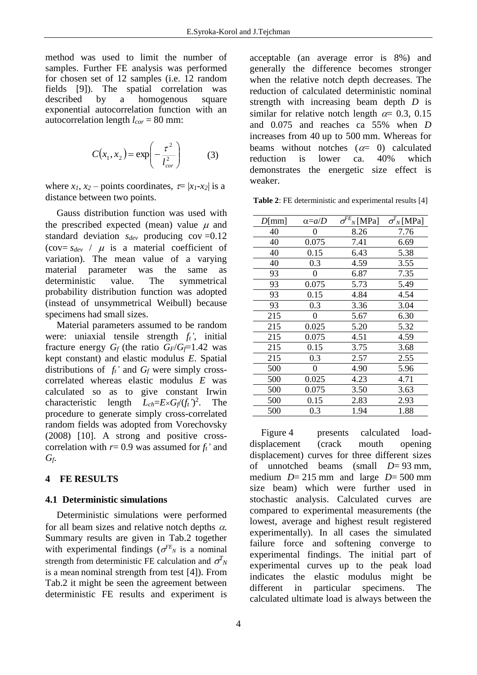method was used to limit the number of samples. Further FE analysis was performed for chosen set of 12 samples (i.e. 12 random fields [9]). The spatial correlation was described by a homogenous square exponential autocorrelation function with an autocorrelation length *lcor* = 80 mm:

$$
C(x_1, x_2) = \exp\left(-\frac{\tau^2}{l_{cor}^2}\right) \tag{3}
$$

where  $x_1$ ,  $x_2$  – points coordinates,  $\tau = |x_1 - x_2|$  is a distance between two points.

Gauss distribution function was used with the prescribed expected (mean) value  $\mu$  and standard deviation *sdev* producing cov =0.12 (cov=  $s_{dev}$  /  $\mu$  is a material coefficient of variation). The mean value of a varying material parameter was the same as deterministic value. The symmetrical probability distribution function was adopted (instead of unsymmetrical Weibull) because specimens had small sizes.

Material parameters assumed to be random were: uniaxial tensile strength *ft'*, initial fracture energy  $G_f$  (the ratio  $G_F/G_f=1.42$  was kept constant) and elastic modulus *E*. Spatial distributions of  $f_t$ <sup>*'*</sup> and  $G_f$  were simply crosscorrelated whereas elastic modulus *E* was calculated so as to give constant Irwin characteristic length  $L_{ch} = E \times G_f/(f_t^2)$ . The procedure to generate simply cross-correlated random fields was adopted from Vorechovsky (2008) [10]. A strong and positive crosscorrelation with  $r=0.9$  was assumed for  $f_t$ <sup>*'*</sup> and *Gf*.

#### **4 FE RESULTS**

#### **4.1 Deterministic simulations**

Deterministic simulations were performed for all beam sizes and relative notch depths  $\alpha$ . Summary results are given in Tab.2 together with experimental findings ( $\sigma^{FE}$ <sub>N</sub> is a nominal strength from deterministic FE calculation and  $\sigma_N^T$ is a mean nominal strength from test [4]). From Tab.2 it might be seen the agreement between deterministic FE results and experiment is

acceptable (an average error is 8%) and generally the difference becomes stronger when the relative notch depth decreases. The reduction of calculated deterministic nominal strength with increasing beam depth *D* is similar for relative notch length  $\alpha$  = 0.3, 0.15 and 0.075 and reaches ca 55% when *D* increases from 40 up to 500 mm. Whereas for beams without notches  $(\alpha = 0)$  calculated reduction is lower ca. 40% which demonstrates the energetic size effect is weaker.

**Table 2**: FE deterministic and experimental results [4]

| $D$ [mm] | $\alpha = a/D$ | $\sigma^{FE}{}_N[\text{MPa}]$ | $\sigma_N^T$ [MPa] |
|----------|----------------|-------------------------------|--------------------|
| 40       | 0              | 8.26                          | 7.76               |
| 40       | 0.075          | 7.41                          | 6.69               |
| 40       | 0.15           | 6.43                          | 5.38               |
| 40       | 0.3            | 4.59                          | 3.55               |
| 93       | 0              | 6.87                          | 7.35               |
| 93       | 0.075          | 5.73                          | 5.49               |
| 93       | 0.15           | 4.84                          | 4.54               |
| 93       | 0.3            | 3.36                          | 3.04               |
| 215      | 0              | 5.67                          | 6.30               |
| 215      | 0.025          | 5.20                          | 5.32               |
| 215      | 0.075          | 4.51                          | 4.59               |
| 215      | 0.15           | 3.75                          | 3.68               |
| 215      | 0.3            | 2.57                          | 2.55               |
| 500      | 0              | 4.90                          | 5.96               |
| 500      | 0.025          | 4.23                          | 4.71               |
| 500      | 0.075          | 3.50                          | 3.63               |
| 500      | 0.15           | 2.83                          | 2.93               |
| 500      | 0.3            | 1.94                          | 1.88               |

Figure 4 presents calculated loaddisplacement (crack mouth opening displacement) curves for three different sizes of unnotched beams (small *D*= 93 mm, medium *D*= 215 mm and large *D*= 500 mm size beam) which were further used in stochastic analysis. Calculated curves are compared to experimental measurements (the lowest, average and highest result registered experimentally). In all cases the simulated failure force and softening converge to experimental findings. The initial part of experimental curves up to the peak load indicates the elastic modulus might be different in particular specimens. The calculated ultimate load is always between the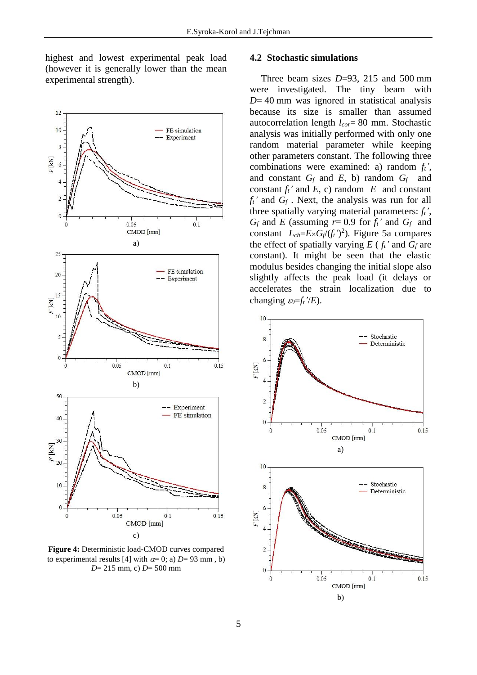highest and lowest experimental peak load (however it is generally lower than the mean experimental strength).



**Figure 4:** Deterministic load-CMOD curves compared to experimental results [4] with  $\alpha = 0$ ; a) *D*= 93 mm, b) *D*= 215 mm, c) *D*= 500 mm

#### **4.2 Stochastic simulations**

Three beam sizes *D*=93, 215 and 500 mm were investigated. The tiny beam with *D*= 40 mm was ignored in statistical analysis because its size is smaller than assumed autocorrelation length *lcor*= 80 mm. Stochastic analysis was initially performed with only one random material parameter while keeping other parameters constant. The following three combinations were examined: a) random *ft'*, and constant *G<sup>f</sup>* and *E*, b) random *Gf* and constant  $f_t$ <sup>*'*</sup> and  $E$ , c) random  $E$  and constant  $f_t$ <sup> $\prime$ </sup> and  $G_f$ . Next, the analysis was run for all three spatially varying material parameters: *ft'*,  $G_f$  and *E* (assuming  $r = 0.9$  for  $f_t$ <sup>*'*</sup> and  $G_f$  and constant  $L_{ch} = E \times G_f/(f_t')^2$ ). Figure 5a compares the effect of spatially varying  $E(f_t)$  and  $G_f$  are constant). It might be seen that the elastic modulus besides changing the initial slope also slightly affects the peak load (it delays or accelerates the strain localization due to changing  $\varepsilon_0 = f_t^2/E$ .

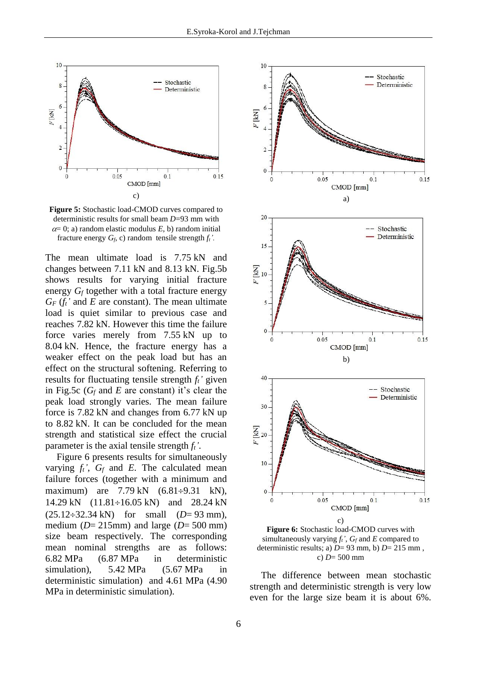

**Figure 5:** Stochastic load-CMOD curves compared to deterministic results for small beam *D*=93 mm with  $\alpha = 0$ ; a) random elastic modulus *E*, b) random initial fracture energy  $G_f$ , c) random tensile strength  $f_t$ <sup>'</sup>.

The mean ultimate load is 7.75 kN and changes between 7.11 kN and 8.13 kN. Fig.5b shows results for varying initial fracture energy *G<sup>f</sup>* together with a total fracture energy  $G_F(f_t)$  and *E* are constant). The mean ultimate load is quiet similar to previous case and reaches 7.82 kN. However this time the failure force varies merely from 7.55 kN up to 8.04 kN. Hence, the fracture energy has a weaker effect on the peak load but has an effect on the structural softening. Referring to results for fluctuating tensile strength *ft'* given in Fig.5c ( $G_f$  and  $E$  are constant) it's clear the peak load strongly varies. The mean failure force is 7.82 kN and changes from 6.77 kN up to 8.82 kN. It can be concluded for the mean strength and statistical size effect the crucial parameter is the axial tensile strength *ft'*.

Figure 6 presents results for simultaneously varying  $f_t$ <sup>*'*</sup>,  $G_f$  and *E*. The calculated mean failure forces (together with a minimum and maximum) are  $7.79 \text{ kN}$   $(6.81 \div 9.31 \text{ kN})$ , 14.29 kN  $(11.81 \div 16.05 \text{ kN})$  and 28.24 kN  $(25.12 \div 32.34 \text{ kN})$  for small  $(D= 93 \text{ mm})$ , medium ( $D=215$ mm) and large ( $D=500$  mm) size beam respectively. The corresponding mean nominal strengths are as follows: 6.82 MPa (6.87 MPa in deterministic simulation), 5.42 MPa (5.67 MPa in deterministic simulation) and 4.61 MPa (4.90 MPa in deterministic simulation).



c) *D*= 500 mm

The difference between mean stochastic strength and deterministic strength is very low even for the large size beam it is about 6%.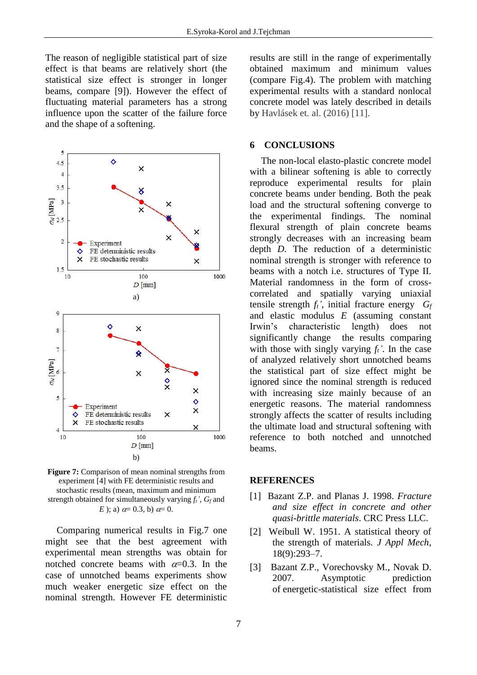The reason of negligible statistical part of size effect is that beams are relatively short (the statistical size effect is stronger in longer beams*,* compare [9]). However the effect of fluctuating material parameters has a strong influence upon the scatter of the failure force and the shape of a softening.



**Figure 7:** Comparison of mean nominal strengths from experiment [4] with FE deterministic results and stochastic results (mean, maximum and minimum strength obtained for simultaneously varying *ft'*, *G<sup>f</sup>* and *E* ); a)  $\alpha = 0.3$ , b)  $\alpha = 0$ .

Comparing numerical results in Fig.7 one might see that the best agreement with experimental mean strengths was obtain for notched concrete beams with  $\alpha$ =0.3. In the case of unnotched beams experiments show much weaker energetic size effect on the nominal strength. However FE deterministic

results are still in the range of experimentally obtained maximum and minimum values (compare Fig.4). The problem with matching experimental results with a standard nonlocal concrete model was lately described in details by Havlásek et. al. (2016) [11].

# **6 CONCLUSIONS**

The non-local elasto-plastic concrete model with a bilinear softening is able to correctly reproduce experimental results for plain concrete beams under bending. Both the peak load and the structural softening converge to the experimental findings. The nominal flexural strength of plain concrete beams strongly decreases with an increasing beam depth *D*. The reduction of a deterministic nominal strength is stronger with reference to beams with a notch i.e. structures of Type II. Material randomness in the form of crosscorrelated and spatially varying uniaxial tensile strength *ft'*, initial fracture energy *G<sup>f</sup>* and elastic modulus *E* (assuming constant Irwin's characteristic length) does not significantly change the results comparing with those with singly varying  $f_t$ <sup> $\prime$ </sup>. In the case of analyzed relatively short unnotched beams the statistical part of size effect might be ignored since the nominal strength is reduced with increasing size mainly because of an energetic reasons. The material randomness strongly affects the scatter of results including the ultimate load and structural softening with reference to both notched and unnotched beams.

## **REFERENCES**

- [1] Bazant Z.P. and Planas J. 1998. *Fracture and size effect in concrete and other quasi-brittle materials*. CRC Press LLC.
- [2] Weibull W. 1951. A statistical theory of the strength of materials. *J Appl Mech*, 18(9):293–7.
- [3] Bazant Z.P., Vorechovsky M., Novak D. 2007. Asymptotic prediction of energetic-statistical size effect from